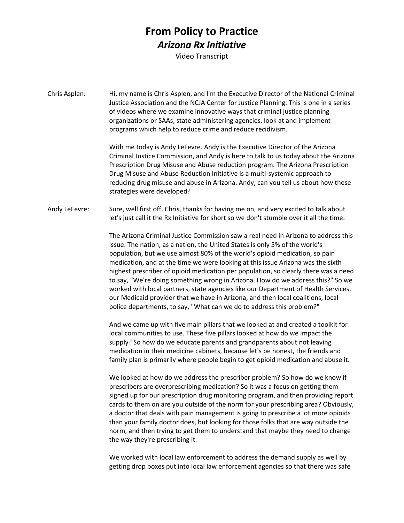## **From Policy to Practice** *Arizona Rx Initiative*

Video Transcript

Chris Asplen: Hi, my name is Chris Asplen, and I'm the Executive Director of the National Criminal Justice Association and the NCJA Center for Justice Planning. This is one in a series of videos where we examine innovative ways that criminal justice planning organizations or SAAs, state administering agencies, look at and implement programs which help to reduce crime and reduce recidivism.

> With me today is Andy LeFevre. Andy is the Executive Director of the Arizona Criminal Justice Commission, and Andy is here to talk to us today about the Arizona Prescription Drug Misuse and Abuse reduction program. The Arizona Prescription Drug Misuse and Abuse Reduction Initiative is a multi-systemic approach to reducing drug misuse and abuse in Arizona. Andy, can you tell us about how these strategies were developed?

Andy LeFevre: Sure, well first off, Chris, thanks for having me on, and very excited to talk about let's just call it the Rx Initiative for short so we don't stumble over it all the time.

> The Arizona Criminal Justice Commission saw a real need in Arizona to address this issue. The nation, as a nation, the United States is only 5% of the world's population, but we use almost 80% of the world's opioid medication, so pain medication, and at the time we were looking at this issue Arizona was the sixth highest prescriber of opioid medication per population, so clearly there was a need to say, "We're doing something wrong in Arizona. How do we address this?" So we worked with local partners, state agencies like our Department of Health Services, our Medicaid provider that we have in Arizona, and then local coalitions, local police departments, to say, "What can we do to address this problem?"

And we came up with five main pillars that we looked at and created a toolkit for local communities to use. These five pillars looked at how do we impact the supply? So how do we educate parents and grandparents about not leaving medication in their medicine cabinets, because let's be honest, the friends and family plan is primarily where people begin to get opioid medication and abuse it.

We looked at how do we address the prescriber problem? So how do we know if prescribers are overprescribing medication? So it was a focus on getting them signed up for our prescription drug monitoring program, and then providing report cards to them on are you outside of the norm for your prescribing area? Obviously, a doctor that deals with pain management is going to prescribe a lot more opioids than your family doctor does, but looking for those folks that are way outside the norm, and then trying to get them to understand that maybe they need to change the way they're prescribing it.

We worked with local law enforcement to address the demand supply as well by getting drop boxes put into local law enforcement agencies so that there was safe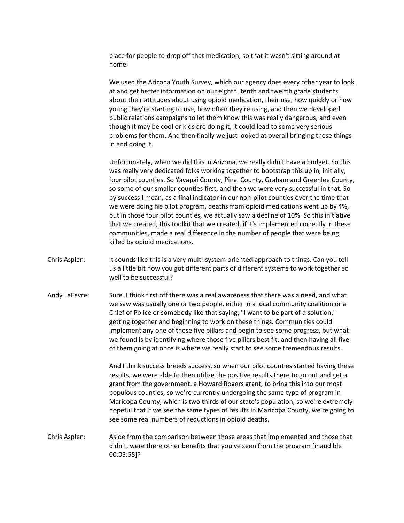place for people to drop off that medication, so that it wasn't sitting around at home.

We used the Arizona Youth Survey, which our agency does every other year to look at and get better information on our eighth, tenth and twelfth grade students about their attitudes about using opioid medication, their use, how quickly or how young they're starting to use, how often they're using, and then we developed public relations campaigns to let them know this was really dangerous, and even though it may be cool or kids are doing it, it could lead to some very serious problems for them. And then finally we just looked at overall bringing these things in and doing it.

Unfortunately, when we did this in Arizona, we really didn't have a budget. So this was really very dedicated folks working together to bootstrap this up in, initially, four pilot counties. So Yavapai County, Pinal County, Graham and Greenlee County, so some of our smaller counties first, and then we were very successful in that. So by success I mean, as a final indicator in our non-pilot counties over the time that we were doing his pilot program, deaths from opioid medications went up by 4%, but in those four pilot counties, we actually saw a decline of 10%. So this initiative that we created, this toolkit that we created, if it's implemented correctly in these communities, made a real difference in the number of people that were being killed by opioid medications.

- Chris Asplen: It sounds like this is a very multi-system oriented approach to things. Can you tell us a little bit how you got different parts of different systems to work together so well to be successful?
- Andy LeFevre: Sure. I think first off there was a real awareness that there was a need, and what we saw was usually one or two people, either in a local community coalition or a Chief of Police or somebody like that saying, "I want to be part of a solution," getting together and beginning to work on these things. Communities could implement any one of these five pillars and begin to see some progress, but what we found is by identifying where those five pillars best fit, and then having all five of them going at once is where we really start to see some tremendous results.

And I think success breeds success, so when our pilot counties started having these results, we were able to then utilize the positive results there to go out and get a grant from the government, a Howard Rogers grant, to bring this into our most populous counties, so we're currently undergoing the same type of program in Maricopa County, which is two thirds of our state's population, so we're extremely hopeful that if we see the same types of results in Maricopa County, we're going to see some real numbers of reductions in opioid deaths.

Chris Asplen: Aside from the comparison between those areas that implemented and those that didn't, were there other benefits that you've seen from the program [inaudible 00:05:55]?